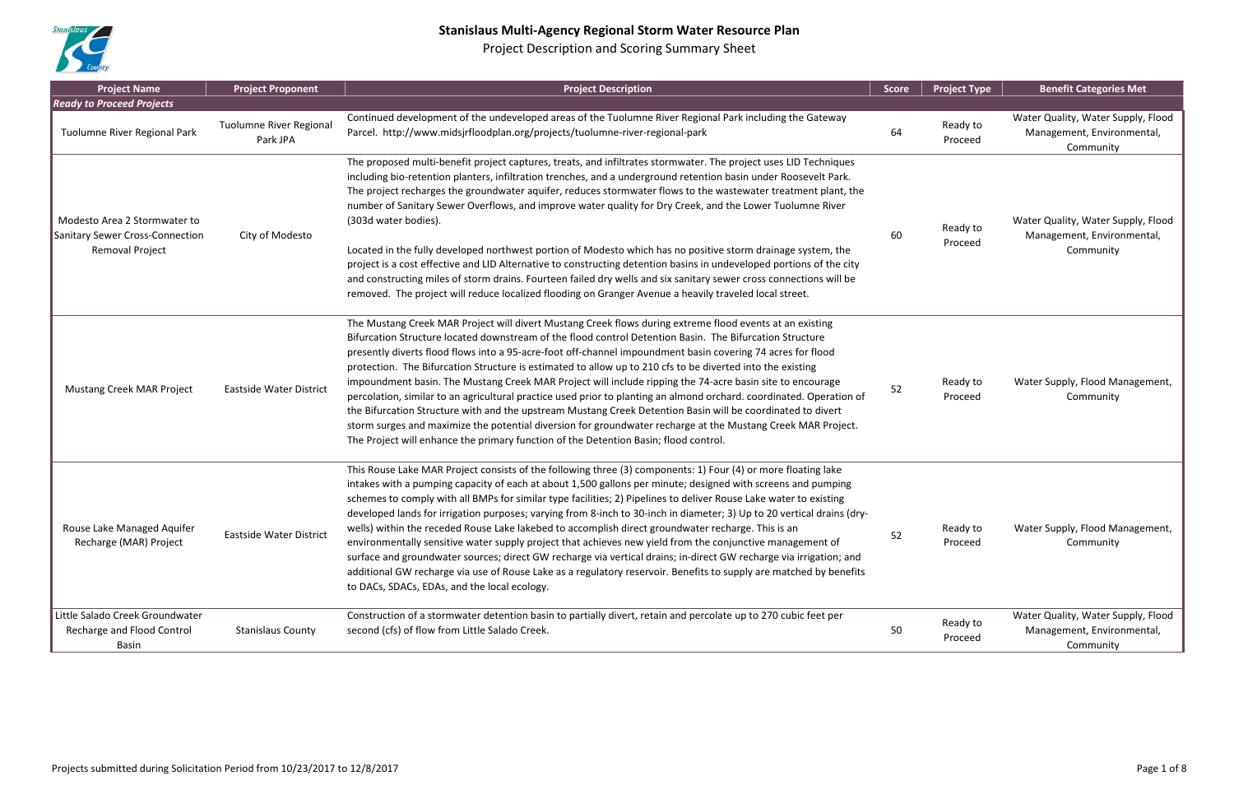

| <b>Project Name</b>                                                                       | <b>Project Proponent</b>                   | <b>Project Description</b>                                                                                                                                                                                                                                                                                                                                                                                                                                                                                                                                                                                                                                                                                                                                                                                                                                                                                                                                                                                    | <b>Score</b> | <b>Project Type</b> | <b>Benefit Categories Met</b>                                                 |
|-------------------------------------------------------------------------------------------|--------------------------------------------|---------------------------------------------------------------------------------------------------------------------------------------------------------------------------------------------------------------------------------------------------------------------------------------------------------------------------------------------------------------------------------------------------------------------------------------------------------------------------------------------------------------------------------------------------------------------------------------------------------------------------------------------------------------------------------------------------------------------------------------------------------------------------------------------------------------------------------------------------------------------------------------------------------------------------------------------------------------------------------------------------------------|--------------|---------------------|-------------------------------------------------------------------------------|
| <b>Ready to Proceed Projects</b>                                                          |                                            |                                                                                                                                                                                                                                                                                                                                                                                                                                                                                                                                                                                                                                                                                                                                                                                                                                                                                                                                                                                                               |              |                     |                                                                               |
| Tuolumne River Regional Park                                                              | <b>Tuolumne River Regional</b><br>Park JPA | Continued development of the undeveloped areas of the Tuolumne River Regional Park including the Gateway<br>Parcel. http://www.midsjrfloodplan.org/projects/tuolumne-river-regional-park                                                                                                                                                                                                                                                                                                                                                                                                                                                                                                                                                                                                                                                                                                                                                                                                                      | 64           | Ready to<br>Proceed | Water Quality, Water Supply, Flood<br>Management, Environmental,<br>Community |
| Modesto Area 2 Stormwater to<br><b>Sanitary Sewer Cross-Connection</b><br>Removal Project | City of Modesto                            | The proposed multi-benefit project captures, treats, and infiltrates stormwater. The project uses LID Techniques<br>including bio-retention planters, infiltration trenches, and a underground retention basin under Roosevelt Park.<br>The project recharges the groundwater aquifer, reduces stormwater flows to the wastewater treatment plant, the<br>number of Sanitary Sewer Overflows, and improve water quality for Dry Creek, and the Lower Tuolumne River<br>(303d water bodies).<br>Located in the fully developed northwest portion of Modesto which has no positive storm drainage system, the<br>project is a cost effective and LID Alternative to constructing detention basins in undeveloped portions of the city<br>and constructing miles of storm drains. Fourteen failed dry wells and six sanitary sewer cross connections will be<br>removed. The project will reduce localized flooding on Granger Avenue a heavily traveled local street.                                           | 60           | Ready to<br>Proceed | Water Quality, Water Supply, Flood<br>Management, Environmental,<br>Community |
| <b>Mustang Creek MAR Project</b>                                                          | <b>Eastside Water District</b>             | The Mustang Creek MAR Project will divert Mustang Creek flows during extreme flood events at an existing<br>Bifurcation Structure located downstream of the flood control Detention Basin. The Bifurcation Structure<br>presently diverts flood flows into a 95-acre-foot off-channel impoundment basin covering 74 acres for flood<br>protection. The Bifurcation Structure is estimated to allow up to 210 cfs to be diverted into the existing<br>impoundment basin. The Mustang Creek MAR Project will include ripping the 74-acre basin site to encourage<br>percolation, similar to an agricultural practice used prior to planting an almond orchard. coordinated. Operation of<br>the Bifurcation Structure with and the upstream Mustang Creek Detention Basin will be coordinated to divert<br>storm surges and maximize the potential diversion for groundwater recharge at the Mustang Creek MAR Project.<br>The Project will enhance the primary function of the Detention Basin; flood control. | 52           | Ready to<br>Proceed | Water Supply, Flood Management,<br>Community                                  |
| Rouse Lake Managed Aquifer<br>Recharge (MAR) Project                                      | Eastside Water District                    | This Rouse Lake MAR Project consists of the following three (3) components: 1) Four (4) or more floating lake<br>intakes with a pumping capacity of each at about 1,500 gallons per minute; designed with screens and pumping<br>schemes to comply with all BMPs for similar type facilities; 2) Pipelines to deliver Rouse Lake water to existing<br>developed lands for irrigation purposes; varying from 8-inch to 30-inch in diameter; 3) Up to 20 vertical drains (dry-<br>wells) within the receded Rouse Lake lakebed to accomplish direct groundwater recharge. This is an<br>environmentally sensitive water supply project that achieves new yield from the conjunctive management of<br>surface and groundwater sources; direct GW recharge via vertical drains; in-direct GW recharge via irrigation; and<br>additional GW recharge via use of Rouse Lake as a regulatory reservoir. Benefits to supply are matched by benefits<br>to DACs, SDACs, EDAs, and the local ecology.                   | 52           | Ready to<br>Proceed | Water Supply, Flood Management,<br>Community                                  |
| Little Salado Creek Groundwater<br>Recharge and Flood Control<br>Basin                    | <b>Stanislaus County</b>                   | Construction of a stormwater detention basin to partially divert, retain and percolate up to 270 cubic feet per<br>second (cfs) of flow from Little Salado Creek.                                                                                                                                                                                                                                                                                                                                                                                                                                                                                                                                                                                                                                                                                                                                                                                                                                             | 50           | Ready to<br>Proceed | Water Quality, Water Supply, Flood<br>Management, Environmental,<br>Community |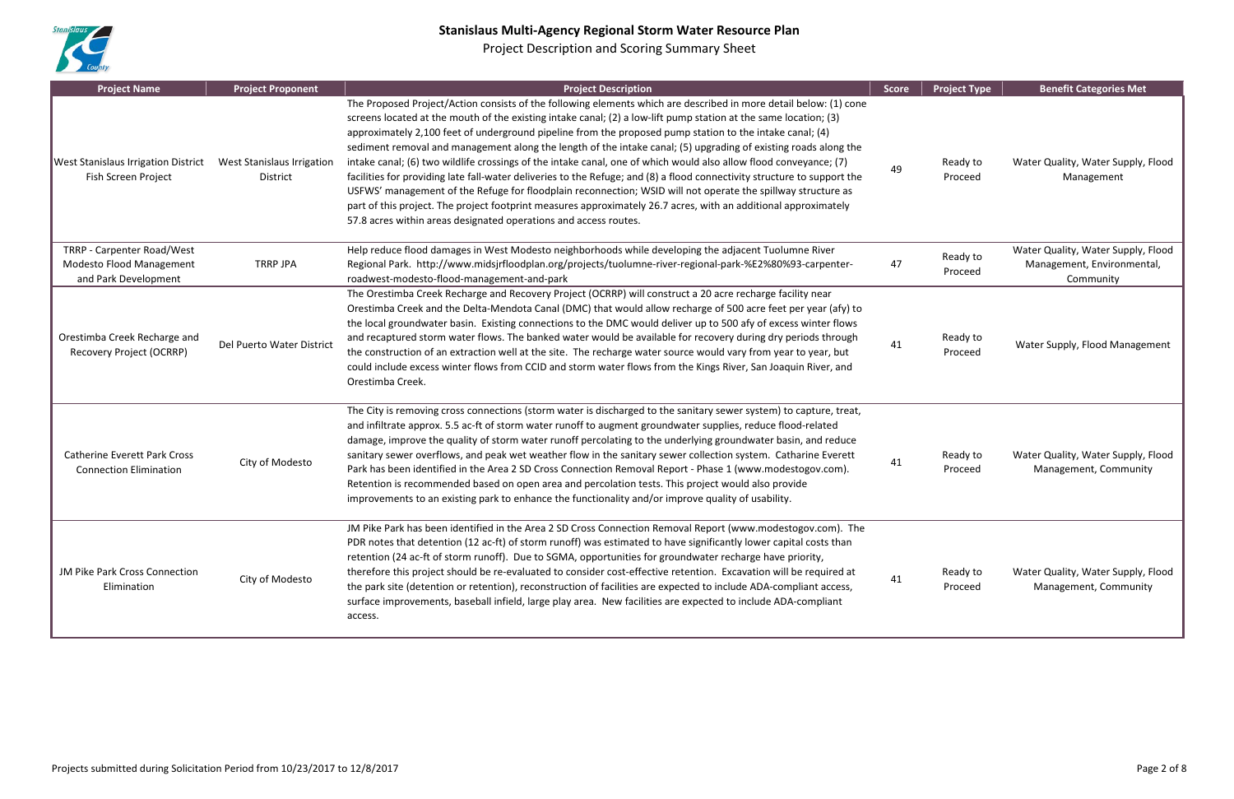

| <b>Project Name</b>                                                                   | <b>Project Proponent</b>                      | <b>Project Description</b>                                                                                                                                                                                                                                                                                                                                                                                                                                                                                                                                                                                                                                                                                                                                                                                                                                                                                                                                                                                                   | <b>Score</b> | <b>Project Type</b> | <b>Benefit Categories Met</b>                                                 |
|---------------------------------------------------------------------------------------|-----------------------------------------------|------------------------------------------------------------------------------------------------------------------------------------------------------------------------------------------------------------------------------------------------------------------------------------------------------------------------------------------------------------------------------------------------------------------------------------------------------------------------------------------------------------------------------------------------------------------------------------------------------------------------------------------------------------------------------------------------------------------------------------------------------------------------------------------------------------------------------------------------------------------------------------------------------------------------------------------------------------------------------------------------------------------------------|--------------|---------------------|-------------------------------------------------------------------------------|
| <b>West Stanislaus Irrigation District</b><br>Fish Screen Project                     | <b>West Stanislaus Irrigation</b><br>District | The Proposed Project/Action consists of the following elements which are described in more detail below: (1) cone<br>screens located at the mouth of the existing intake canal; (2) a low-lift pump station at the same location; (3)<br>approximately 2,100 feet of underground pipeline from the proposed pump station to the intake canal; (4)<br>sediment removal and management along the length of the intake canal; (5) upgrading of existing roads along the<br>intake canal; (6) two wildlife crossings of the intake canal, one of which would also allow flood conveyance; (7)<br>facilities for providing late fall-water deliveries to the Refuge; and (8) a flood connectivity structure to support the<br>USFWS' management of the Refuge for floodplain reconnection; WSID will not operate the spillway structure as<br>part of this project. The project footprint measures approximately 26.7 acres, with an additional approximately<br>57.8 acres within areas designated operations and access routes. | 49           | Ready to<br>Proceed | Water Quality, Water Supply, Flood<br>Management                              |
| TRRP - Carpenter Road/West<br><b>Modesto Flood Management</b><br>and Park Development | <b>TRRP JPA</b>                               | Help reduce flood damages in West Modesto neighborhoods while developing the adjacent Tuolumne River<br>Regional Park. http://www.midsjrfloodplan.org/projects/tuolumne-river-regional-park-%E2%80%93-carpenter-<br>roadwest-modesto-flood-management-and-park                                                                                                                                                                                                                                                                                                                                                                                                                                                                                                                                                                                                                                                                                                                                                               | 47           | Ready to<br>Proceed | Water Quality, Water Supply, Flood<br>Management, Environmental,<br>Community |
| Orestimba Creek Recharge and<br>Recovery Project (OCRRP)                              | Del Puerto Water District                     | The Orestimba Creek Recharge and Recovery Project (OCRRP) will construct a 20 acre recharge facility near<br>Orestimba Creek and the Delta-Mendota Canal (DMC) that would allow recharge of 500 acre feet per year (afy) to<br>the local groundwater basin. Existing connections to the DMC would deliver up to 500 afy of excess winter flows<br>and recaptured storm water flows. The banked water would be available for recovery during dry periods through<br>the construction of an extraction well at the site. The recharge water source would vary from year to year, but<br>could include excess winter flows from CCID and storm water flows from the Kings River, San Joaquin River, and<br>Orestimba Creek.                                                                                                                                                                                                                                                                                                     | 41           | Ready to<br>Proceed | Water Supply, Flood Management                                                |
| <b>Catherine Everett Park Cross</b><br><b>Connection Elimination</b>                  | City of Modesto                               | The City is removing cross connections (storm water is discharged to the sanitary sewer system) to capture, treat,<br>and infiltrate approx. 5.5 ac-ft of storm water runoff to augment groundwater supplies, reduce flood-related<br>damage, improve the quality of storm water runoff percolating to the underlying groundwater basin, and reduce<br>sanitary sewer overflows, and peak wet weather flow in the sanitary sewer collection system. Catharine Everett<br>Park has been identified in the Area 2 SD Cross Connection Removal Report - Phase 1 (www.modestogov.com).<br>Retention is recommended based on open area and percolation tests. This project would also provide<br>improvements to an existing park to enhance the functionality and/or improve quality of usability.                                                                                                                                                                                                                               | 41           | Ready to<br>Proceed | Water Quality, Water Supply, Flood<br>Management, Community                   |
| JM Pike Park Cross Connection<br>Elimination                                          | City of Modesto                               | JM Pike Park has been identified in the Area 2 SD Cross Connection Removal Report (www.modestogov.com). The<br>PDR notes that detention (12 ac-ft) of storm runoff) was estimated to have significantly lower capital costs than<br>retention (24 ac-ft of storm runoff). Due to SGMA, opportunities for groundwater recharge have priority,<br>therefore this project should be re-evaluated to consider cost-effective retention. Excavation will be required at<br>the park site (detention or retention), reconstruction of facilities are expected to include ADA-compliant access,<br>surface improvements, baseball infield, large play area. New facilities are expected to include ADA-compliant<br>access.                                                                                                                                                                                                                                                                                                         | 41           | Ready to<br>Proceed | Water Quality, Water Supply, Flood<br>Management, Community                   |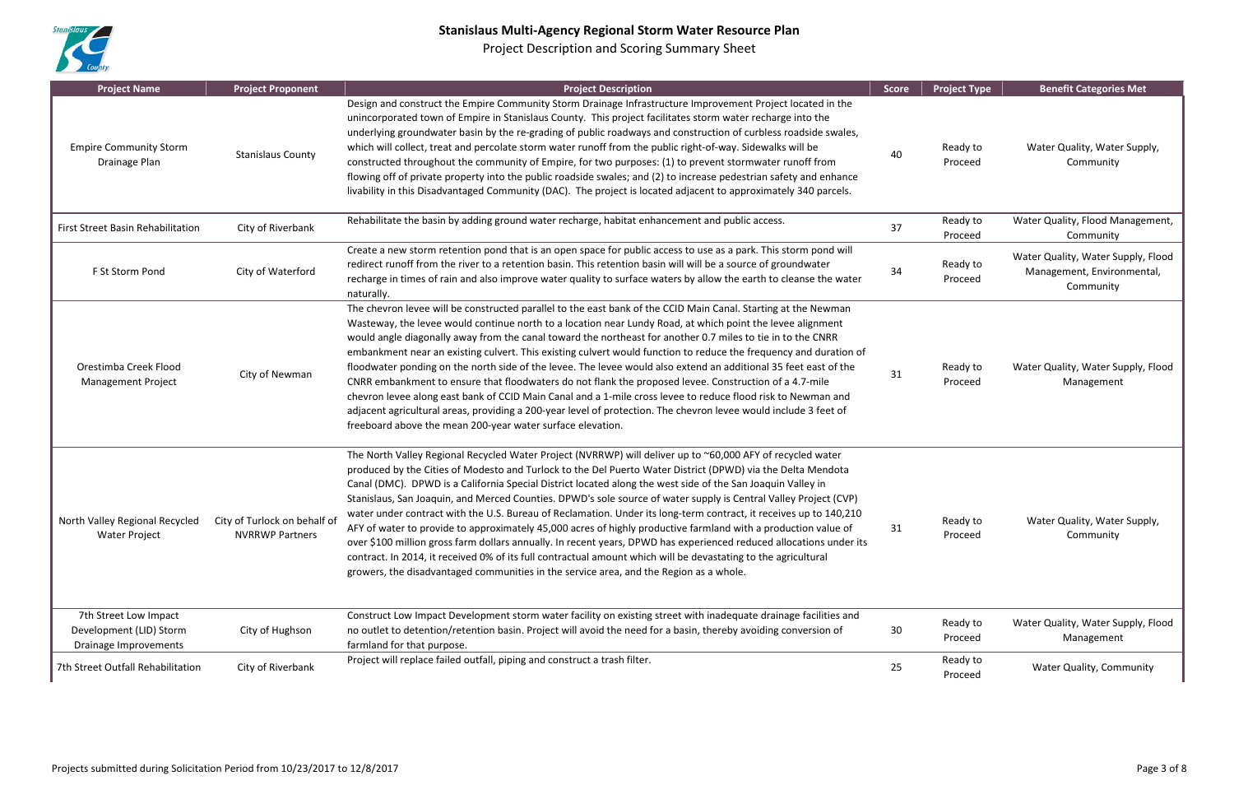

| <b>Project Name</b>                                                       | <b>Project Proponent</b>                               | <b>Project Description</b>                                                                                                                                                                                                                                                                                                                                                                                                                                                                                                                                                                                                                                                                                                                                                                                                                                                                                                                                                                                                             | <b>Score</b> | <b>Project Type</b> | <b>Benefit Categories Met</b>                                                 |
|---------------------------------------------------------------------------|--------------------------------------------------------|----------------------------------------------------------------------------------------------------------------------------------------------------------------------------------------------------------------------------------------------------------------------------------------------------------------------------------------------------------------------------------------------------------------------------------------------------------------------------------------------------------------------------------------------------------------------------------------------------------------------------------------------------------------------------------------------------------------------------------------------------------------------------------------------------------------------------------------------------------------------------------------------------------------------------------------------------------------------------------------------------------------------------------------|--------------|---------------------|-------------------------------------------------------------------------------|
| <b>Empire Community Storm</b><br>Drainage Plan                            | <b>Stanislaus County</b>                               | Design and construct the Empire Community Storm Drainage Infrastructure Improvement Project located in the<br>unincorporated town of Empire in Stanislaus County. This project facilitates storm water recharge into the<br>underlying groundwater basin by the re-grading of public roadways and construction of curbless roadside swales,<br>which will collect, treat and percolate storm water runoff from the public right-of-way. Sidewalks will be<br>constructed throughout the community of Empire, for two purposes: (1) to prevent stormwater runoff from<br>flowing off of private property into the public roadside swales; and (2) to increase pedestrian safety and enhance<br>livability in this Disadvantaged Community (DAC). The project is located adjacent to approximately 340 parcels.                                                                                                                                                                                                                          | 40           | Ready to<br>Proceed | Water Quality, Water Supply,<br>Community                                     |
| First Street Basin Rehabilitation                                         | City of Riverbank                                      | Rehabilitate the basin by adding ground water recharge, habitat enhancement and public access.                                                                                                                                                                                                                                                                                                                                                                                                                                                                                                                                                                                                                                                                                                                                                                                                                                                                                                                                         | 37           | Ready to<br>Proceed | Water Quality, Flood Management,<br>Community                                 |
| F St Storm Pond                                                           | City of Waterford                                      | Create a new storm retention pond that is an open space for public access to use as a park. This storm pond will<br>redirect runoff from the river to a retention basin. This retention basin will will be a source of groundwater<br>recharge in times of rain and also improve water quality to surface waters by allow the earth to cleanse the water<br>naturally.                                                                                                                                                                                                                                                                                                                                                                                                                                                                                                                                                                                                                                                                 | 34           | Ready to<br>Proceed | Water Quality, Water Supply, Flood<br>Management, Environmental,<br>Community |
| Orestimba Creek Flood<br><b>Management Project</b>                        | City of Newman                                         | The chevron levee will be constructed parallel to the east bank of the CCID Main Canal. Starting at the Newman<br>Wasteway, the levee would continue north to a location near Lundy Road, at which point the levee alignment<br>would angle diagonally away from the canal toward the northeast for another 0.7 miles to tie in to the CNRR<br>embankment near an existing culvert. This existing culvert would function to reduce the frequency and duration of<br>floodwater ponding on the north side of the levee. The levee would also extend an additional 35 feet east of the<br>CNRR embankment to ensure that floodwaters do not flank the proposed levee. Construction of a 4.7-mile<br>chevron levee along east bank of CCID Main Canal and a 1-mile cross levee to reduce flood risk to Newman and<br>adjacent agricultural areas, providing a 200-year level of protection. The chevron levee would include 3 feet of<br>freeboard above the mean 200-year water surface elevation.                                       | 31           | Ready to<br>Proceed | Water Quality, Water Supply, Flood<br>Management                              |
| North Valley Regional Recycled<br><b>Water Project</b>                    | City of Turlock on behalf of<br><b>NVRRWP Partners</b> | The North Valley Regional Recycled Water Project (NVRRWP) will deliver up to ~60,000 AFY of recycled water<br>produced by the Cities of Modesto and Turlock to the Del Puerto Water District (DPWD) via the Delta Mendota<br>Canal (DMC). DPWD is a California Special District located along the west side of the San Joaquin Valley in<br>Stanislaus, San Joaquin, and Merced Counties. DPWD's sole source of water supply is Central Valley Project (CVP)<br>water under contract with the U.S. Bureau of Reclamation. Under its long-term contract, it receives up to 140,210<br>AFY of water to provide to approximately 45,000 acres of highly productive farmland with a production value of<br>over \$100 million gross farm dollars annually. In recent years, DPWD has experienced reduced allocations under its<br>contract. In 2014, it received 0% of its full contractual amount which will be devastating to the agricultural<br>growers, the disadvantaged communities in the service area, and the Region as a whole. | 31           | Ready to<br>Proceed | Water Quality, Water Supply,<br>Community                                     |
| 7th Street Low Impact<br>Development (LID) Storm<br>Drainage Improvements | City of Hughson                                        | Construct Low Impact Development storm water facility on existing street with inadequate drainage facilities and<br>no outlet to detention/retention basin. Project will avoid the need for a basin, thereby avoiding conversion of<br>farmland for that purpose.                                                                                                                                                                                                                                                                                                                                                                                                                                                                                                                                                                                                                                                                                                                                                                      | 30           | Ready to<br>Proceed | Water Quality, Water Supply, Flood<br>Management                              |
| 7th Street Outfall Rehabilitation                                         | City of Riverbank                                      | Project will replace failed outfall, piping and construct a trash filter.                                                                                                                                                                                                                                                                                                                                                                                                                                                                                                                                                                                                                                                                                                                                                                                                                                                                                                                                                              | 25           | Ready to<br>Proceed | Water Quality, Community                                                      |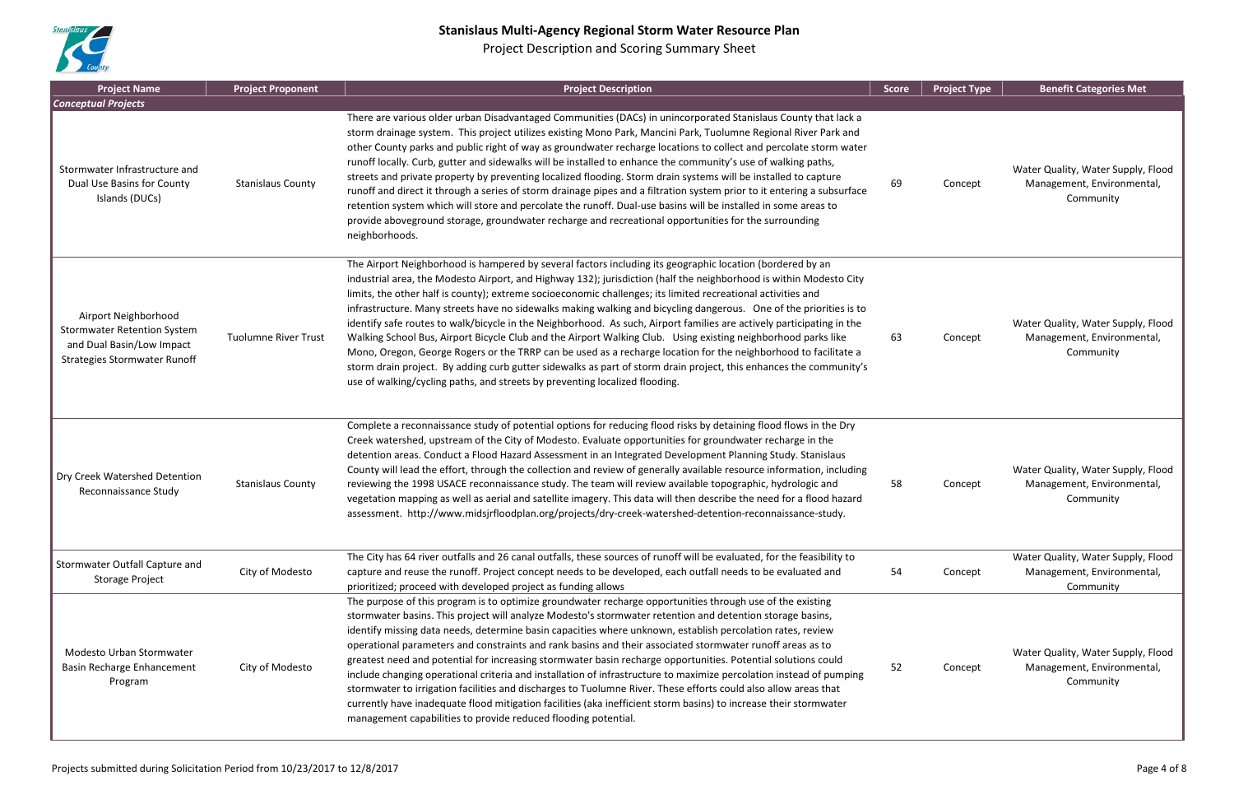

| <b>Project Name</b>                                                                                                            | <b>Project Proponent</b>    | <b>Project Description</b>                                                                                                                                                                                                                                                                                                                                                                                                                                                                                                                                                                                                                                                                                                                                                                                                                                                                                                                                                                                                              | <b>Score</b> | <b>Project Type</b> | <b>Benefit Categories Met</b>                                                 |
|--------------------------------------------------------------------------------------------------------------------------------|-----------------------------|-----------------------------------------------------------------------------------------------------------------------------------------------------------------------------------------------------------------------------------------------------------------------------------------------------------------------------------------------------------------------------------------------------------------------------------------------------------------------------------------------------------------------------------------------------------------------------------------------------------------------------------------------------------------------------------------------------------------------------------------------------------------------------------------------------------------------------------------------------------------------------------------------------------------------------------------------------------------------------------------------------------------------------------------|--------------|---------------------|-------------------------------------------------------------------------------|
| <b>Conceptual Projects</b>                                                                                                     |                             |                                                                                                                                                                                                                                                                                                                                                                                                                                                                                                                                                                                                                                                                                                                                                                                                                                                                                                                                                                                                                                         |              |                     |                                                                               |
| Stormwater Infrastructure and<br>Dual Use Basins for County<br>Islands (DUCs)                                                  | <b>Stanislaus County</b>    | There are various older urban Disadvantaged Communities (DACs) in unincorporated Stanislaus County that lack a<br>storm drainage system. This project utilizes existing Mono Park, Mancini Park, Tuolumne Regional River Park and<br>other County parks and public right of way as groundwater recharge locations to collect and percolate storm water<br>runoff locally. Curb, gutter and sidewalks will be installed to enhance the community's use of walking paths,<br>streets and private property by preventing localized flooding. Storm drain systems will be installed to capture<br>runoff and direct it through a series of storm drainage pipes and a filtration system prior to it entering a subsurface<br>retention system which will store and percolate the runoff. Dual-use basins will be installed in some areas to<br>provide aboveground storage, groundwater recharge and recreational opportunities for the surrounding<br>neighborhoods.                                                                       | 69           | Concept             | Water Quality, Water Supply, Flood<br>Management, Environmental,<br>Community |
| Airport Neighborhood<br><b>Stormwater Retention System</b><br>and Dual Basin/Low Impact<br><b>Strategies Stormwater Runoff</b> | <b>Tuolumne River Trust</b> | The Airport Neighborhood is hampered by several factors including its geographic location (bordered by an<br>industrial area, the Modesto Airport, and Highway 132); jurisdiction (half the neighborhood is within Modesto City<br>limits, the other half is county); extreme socioeconomic challenges; its limited recreational activities and<br>infrastructure. Many streets have no sidewalks making walking and bicycling dangerous. One of the priorities is to<br>identify safe routes to walk/bicycle in the Neighborhood. As such, Airport families are actively participating in the<br>Walking School Bus, Airport Bicycle Club and the Airport Walking Club. Using existing neighborhood parks like<br>Mono, Oregon, George Rogers or the TRRP can be used as a recharge location for the neighborhood to facilitate a<br>storm drain project. By adding curb gutter sidewalks as part of storm drain project, this enhances the community's<br>use of walking/cycling paths, and streets by preventing localized flooding. | 63           | Concept             | Water Quality, Water Supply, Flood<br>Management, Environmental,<br>Community |
| Dry Creek Watershed Detention<br>Reconnaissance Study                                                                          | <b>Stanislaus County</b>    | Complete a reconnaissance study of potential options for reducing flood risks by detaining flood flows in the Dry<br>Creek watershed, upstream of the City of Modesto. Evaluate opportunities for groundwater recharge in the<br>detention areas. Conduct a Flood Hazard Assessment in an Integrated Development Planning Study. Stanislaus<br>County will lead the effort, through the collection and review of generally available resource information, including<br>reviewing the 1998 USACE reconnaissance study. The team will review available topographic, hydrologic and<br>vegetation mapping as well as aerial and satellite imagery. This data will then describe the need for a flood hazard<br>assessment. http://www.midsjrfloodplan.org/projects/dry-creek-watershed-detention-reconnaissance-study.                                                                                                                                                                                                                    | 58           | Concept             | Water Quality, Water Supply, Flood<br>Management, Environmental,<br>Community |
| Stormwater Outfall Capture and<br><b>Storage Project</b>                                                                       | City of Modesto             | The City has 64 river outfalls and 26 canal outfalls, these sources of runoff will be evaluated, for the feasibility to<br>capture and reuse the runoff. Project concept needs to be developed, each outfall needs to be evaluated and<br>prioritized; proceed with developed project as funding allows                                                                                                                                                                                                                                                                                                                                                                                                                                                                                                                                                                                                                                                                                                                                 | 54           | Concept             | Water Quality, Water Supply, Flood<br>Management, Environmental,<br>Community |
| Modesto Urban Stormwater<br>Basin Recharge Enhancement<br>Program                                                              | City of Modesto             | The purpose of this program is to optimize groundwater recharge opportunities through use of the existing<br>stormwater basins. This project will analyze Modesto's stormwater retention and detention storage basins,<br>identify missing data needs, determine basin capacities where unknown, establish percolation rates, review<br>operational parameters and constraints and rank basins and their associated stormwater runoff areas as to<br>greatest need and potential for increasing stormwater basin recharge opportunities. Potential solutions could<br>include changing operational criteria and installation of infrastructure to maximize percolation instead of pumping<br>stormwater to irrigation facilities and discharges to Tuolumne River. These efforts could also allow areas that<br>currently have inadequate flood mitigation facilities (aka inefficient storm basins) to increase their stormwater<br>management capabilities to provide reduced flooding potential.                                     | 52           | Concept             | Water Quality, Water Supply, Flood<br>Management, Environmental,<br>Community |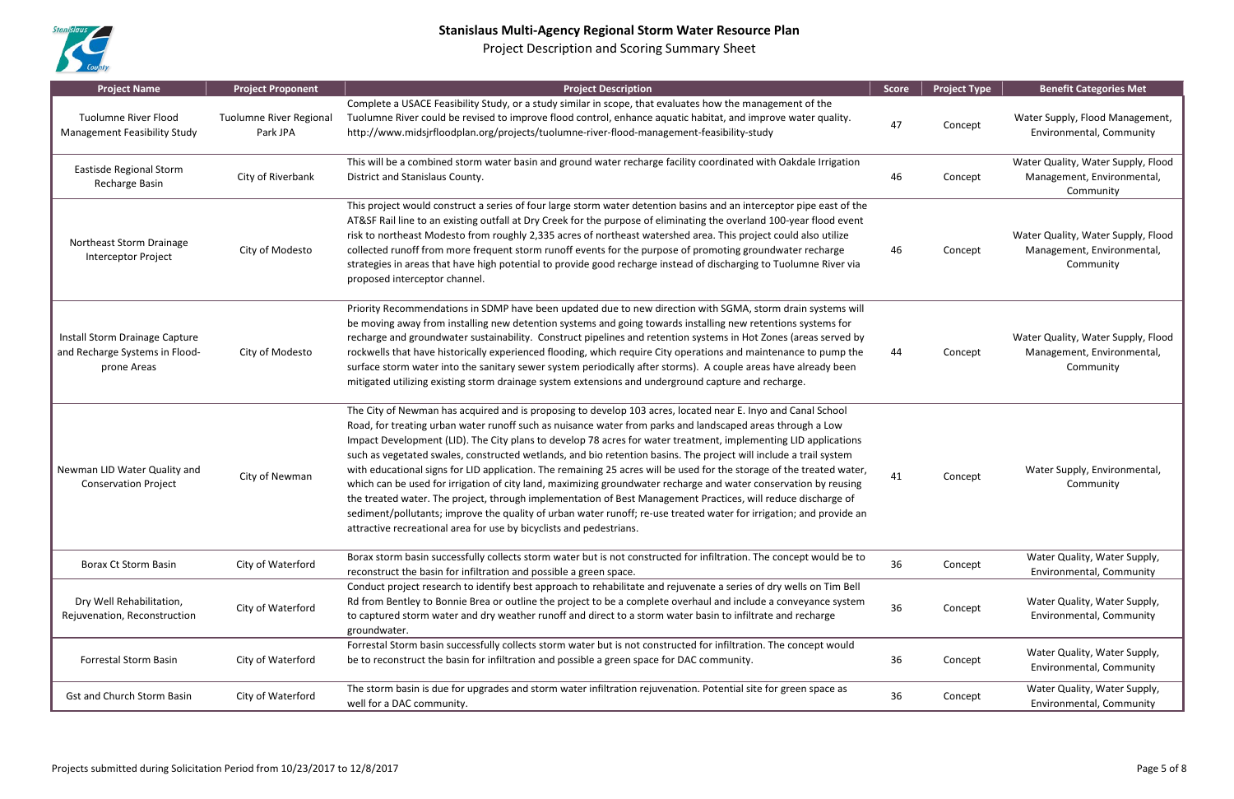

| <b>Project Name</b>                                                             | <b>Project Proponent</b>                   | <b>Project Description</b>                                                                                                                                                                                                                                                                                                                                                                                                                                                                                                                                                                                                                                                                                                                                                                                                                                                                                                                                                                                                     | <b>Score</b> | <b>Project Type</b> | <b>Benefit Categories Met</b>                                                 |
|---------------------------------------------------------------------------------|--------------------------------------------|--------------------------------------------------------------------------------------------------------------------------------------------------------------------------------------------------------------------------------------------------------------------------------------------------------------------------------------------------------------------------------------------------------------------------------------------------------------------------------------------------------------------------------------------------------------------------------------------------------------------------------------------------------------------------------------------------------------------------------------------------------------------------------------------------------------------------------------------------------------------------------------------------------------------------------------------------------------------------------------------------------------------------------|--------------|---------------------|-------------------------------------------------------------------------------|
| <b>Tuolumne River Flood</b><br><b>Management Feasibility Study</b>              | <b>Tuolumne River Regional</b><br>Park JPA | Complete a USACE Feasibility Study, or a study similar in scope, that evaluates how the management of the<br>Tuolumne River could be revised to improve flood control, enhance aquatic habitat, and improve water quality.<br>http://www.midsjrfloodplan.org/projects/tuolumne-river-flood-management-feasibility-study                                                                                                                                                                                                                                                                                                                                                                                                                                                                                                                                                                                                                                                                                                        | 47           | Concept             | Water Supply, Flood Management,<br>Environmental, Community                   |
| Eastisde Regional Storm<br>Recharge Basin                                       | City of Riverbank                          | This will be a combined storm water basin and ground water recharge facility coordinated with Oakdale Irrigation<br>District and Stanislaus County.                                                                                                                                                                                                                                                                                                                                                                                                                                                                                                                                                                                                                                                                                                                                                                                                                                                                            | 46           | Concept             | Water Quality, Water Supply, Flood<br>Management, Environmental,<br>Community |
| Northeast Storm Drainage<br>Interceptor Project                                 | City of Modesto                            | This project would construct a series of four large storm water detention basins and an interceptor pipe east of the<br>AT&SF Rail line to an existing outfall at Dry Creek for the purpose of eliminating the overland 100-year flood event<br>risk to northeast Modesto from roughly 2,335 acres of northeast watershed area. This project could also utilize<br>collected runoff from more frequent storm runoff events for the purpose of promoting groundwater recharge<br>strategies in areas that have high potential to provide good recharge instead of discharging to Tuolumne River via<br>proposed interceptor channel.                                                                                                                                                                                                                                                                                                                                                                                            | 46           | Concept             | Water Quality, Water Supply, Flood<br>Management, Environmental,<br>Community |
| Install Storm Drainage Capture<br>and Recharge Systems in Flood-<br>prone Areas | City of Modesto                            | Priority Recommendations in SDMP have been updated due to new direction with SGMA, storm drain systems will<br>be moving away from installing new detention systems and going towards installing new retentions systems for<br>recharge and groundwater sustainability. Construct pipelines and retention systems in Hot Zones (areas served by<br>rockwells that have historically experienced flooding, which require City operations and maintenance to pump the<br>surface storm water into the sanitary sewer system periodically after storms). A couple areas have already been<br>mitigated utilizing existing storm drainage system extensions and underground capture and recharge.                                                                                                                                                                                                                                                                                                                                  | 44           | Concept             | Water Quality, Water Supply, Flood<br>Management, Environmental,<br>Community |
| Newman LID Water Quality and<br><b>Conservation Project</b>                     | City of Newman                             | The City of Newman has acquired and is proposing to develop 103 acres, located near E. Inyo and Canal School<br>Road, for treating urban water runoff such as nuisance water from parks and landscaped areas through a Low<br>Impact Development (LID). The City plans to develop 78 acres for water treatment, implementing LID applications<br>such as vegetated swales, constructed wetlands, and bio retention basins. The project will include a trail system<br>with educational signs for LID application. The remaining 25 acres will be used for the storage of the treated water,<br>which can be used for irrigation of city land, maximizing groundwater recharge and water conservation by reusing<br>the treated water. The project, through implementation of Best Management Practices, will reduce discharge of<br>sediment/pollutants; improve the quality of urban water runoff; re-use treated water for irrigation; and provide an<br>attractive recreational area for use by bicyclists and pedestrians. | 41           | Concept             | Water Supply, Environmental,<br>Community                                     |
| Borax Ct Storm Basin                                                            | City of Waterford                          | Borax storm basin successfully collects storm water but is not constructed for infiltration. The concept would be to<br>reconstruct the basin for infiltration and possible a green space.                                                                                                                                                                                                                                                                                                                                                                                                                                                                                                                                                                                                                                                                                                                                                                                                                                     | 36           | Concept             | Water Quality, Water Supply,<br>Environmental, Community                      |
| Dry Well Rehabilitation,<br>Rejuvenation, Reconstruction                        | City of Waterford                          | Conduct project research to identify best approach to rehabilitate and rejuvenate a series of dry wells on Tim Bell<br>Rd from Bentley to Bonnie Brea or outline the project to be a complete overhaul and include a conveyance system<br>to captured storm water and dry weather runoff and direct to a storm water basin to infiltrate and recharge<br>groundwater.                                                                                                                                                                                                                                                                                                                                                                                                                                                                                                                                                                                                                                                          | 36           | Concept             | Water Quality, Water Supply,<br>Environmental, Community                      |
| <b>Forrestal Storm Basin</b>                                                    | City of Waterford                          | Forrestal Storm basin successfully collects storm water but is not constructed for infiltration. The concept would<br>be to reconstruct the basin for infiltration and possible a green space for DAC community.                                                                                                                                                                                                                                                                                                                                                                                                                                                                                                                                                                                                                                                                                                                                                                                                               | 36           | Concept             | Water Quality, Water Supply,<br>Environmental, Community                      |
| <b>Gst and Church Storm Basin</b>                                               | City of Waterford                          | The storm basin is due for upgrades and storm water infiltration rejuvenation. Potential site for green space as<br>well for a DAC community.                                                                                                                                                                                                                                                                                                                                                                                                                                                                                                                                                                                                                                                                                                                                                                                                                                                                                  | 36           | Concept             | Water Quality, Water Supply,<br>Environmental, Community                      |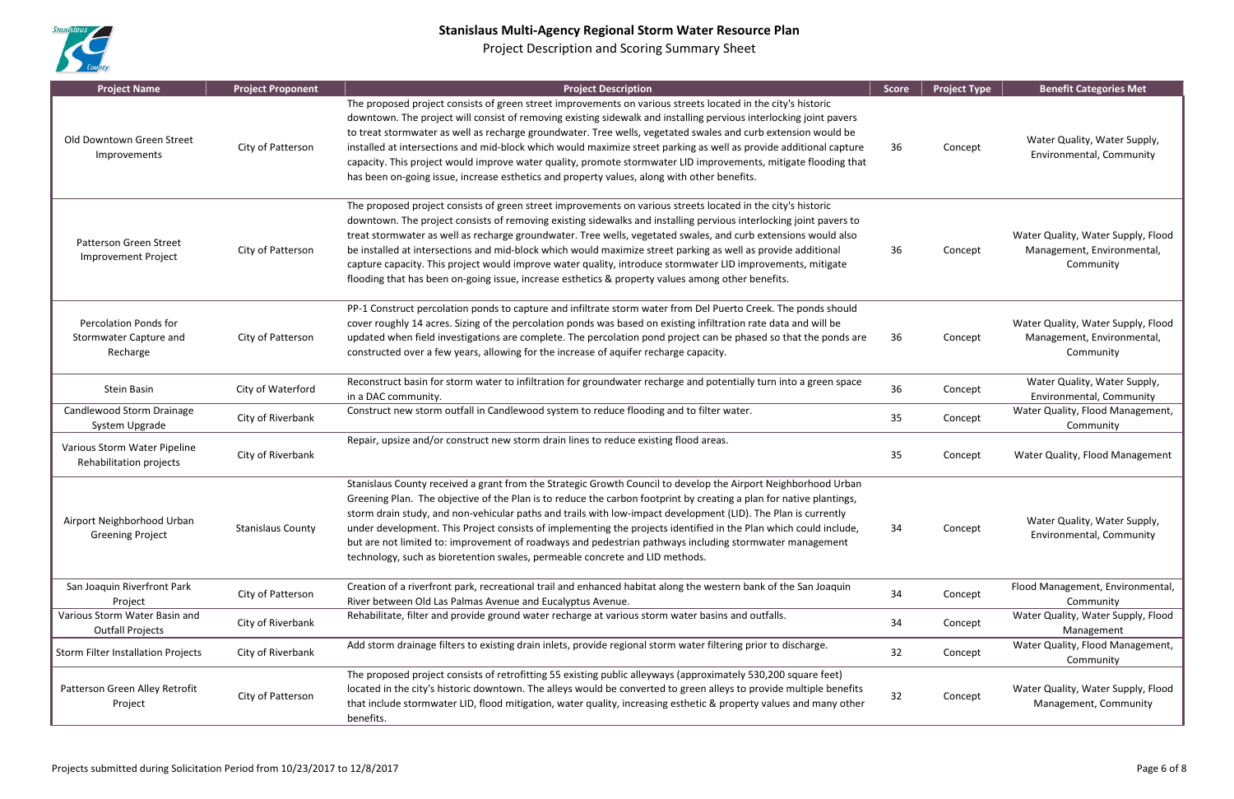

| <b>Project Name</b>                                                       | <b>Project Proponent</b> | <b>Project Description</b>                                                                                                                                                                                                                                                                                                                                                                                                                                                                                                                                                                                                                                                                  | <b>Score</b> | <b>Project Type</b> | <b>Benefit Categories Met</b>                                                 |
|---------------------------------------------------------------------------|--------------------------|---------------------------------------------------------------------------------------------------------------------------------------------------------------------------------------------------------------------------------------------------------------------------------------------------------------------------------------------------------------------------------------------------------------------------------------------------------------------------------------------------------------------------------------------------------------------------------------------------------------------------------------------------------------------------------------------|--------------|---------------------|-------------------------------------------------------------------------------|
| Old Downtown Green Street<br>Improvements                                 | City of Patterson        | The proposed project consists of green street improvements on various streets located in the city's historic<br>downtown. The project will consist of removing existing sidewalk and installing pervious interlocking joint pavers<br>to treat stormwater as well as recharge groundwater. Tree wells, vegetated swales and curb extension would be<br>installed at intersections and mid-block which would maximize street parking as well as provide additional capture<br>capacity. This project would improve water quality, promote stormwater LID improvements, mitigate flooding that<br>has been on-going issue, increase esthetics and property values, along with other benefits. | 36           | Concept             | Water Quality, Water Supply,<br>Environmental, Community                      |
| Patterson Green Street<br><b>Improvement Project</b>                      | City of Patterson        | The proposed project consists of green street improvements on various streets located in the city's historic<br>downtown. The project consists of removing existing sidewalks and installing pervious interlocking joint pavers to<br>treat stormwater as well as recharge groundwater. Tree wells, vegetated swales, and curb extensions would also<br>be installed at intersections and mid-block which would maximize street parking as well as provide additional<br>capture capacity. This project would improve water quality, introduce stormwater LID improvements, mitigate<br>flooding that has been on-going issue, increase esthetics & property values among other benefits.   | 36           | Concept             | Water Quality, Water Supply, Flood<br>Management, Environmental,<br>Community |
| <b>Percolation Ponds for</b><br><b>Stormwater Capture and</b><br>Recharge | City of Patterson        | PP-1 Construct percolation ponds to capture and infiltrate storm water from Del Puerto Creek. The ponds should<br>cover roughly 14 acres. Sizing of the percolation ponds was based on existing infiltration rate data and will be<br>updated when field investigations are complete. The percolation pond project can be phased so that the ponds are<br>constructed over a few years, allowing for the increase of aquifer recharge capacity.                                                                                                                                                                                                                                             | 36           | Concept             | Water Quality, Water Supply, Flood<br>Management, Environmental,<br>Community |
| Stein Basin                                                               | City of Waterford        | Reconstruct basin for storm water to infiltration for groundwater recharge and potentially turn into a green space<br>in a DAC community.                                                                                                                                                                                                                                                                                                                                                                                                                                                                                                                                                   | 36           | Concept             | Water Quality, Water Supply,<br>Environmental, Community                      |
| Candlewood Storm Drainage<br>System Upgrade                               | City of Riverbank        | Construct new storm outfall in Candlewood system to reduce flooding and to filter water.                                                                                                                                                                                                                                                                                                                                                                                                                                                                                                                                                                                                    | 35           | Concept             | Water Quality, Flood Management,<br>Community                                 |
| Various Storm Water Pipeline<br>Rehabilitation projects                   | City of Riverbank        | Repair, upsize and/or construct new storm drain lines to reduce existing flood areas.                                                                                                                                                                                                                                                                                                                                                                                                                                                                                                                                                                                                       | 35           | Concept             | Water Quality, Flood Management                                               |
| Airport Neighborhood Urban<br><b>Greening Project</b>                     | <b>Stanislaus County</b> | Stanislaus County received a grant from the Strategic Growth Council to develop the Airport Neighborhood Urban<br>Greening Plan. The objective of the Plan is to reduce the carbon footprint by creating a plan for native plantings,<br>storm drain study, and non-vehicular paths and trails with low-impact development (LID). The Plan is currently<br>under development. This Project consists of implementing the projects identified in the Plan which could include,<br>but are not limited to: improvement of roadways and pedestrian pathways including stormwater management<br>technology, such as bioretention swales, permeable concrete and LID methods.                     | 34           | Concept             | Water Quality, Water Supply,<br>Environmental, Community                      |
| San Joaquin Riverfront Park<br>Project                                    | City of Patterson        | Creation of a riverfront park, recreational trail and enhanced habitat along the western bank of the San Joaquin<br>River between Old Las Palmas Avenue and Eucalyptus Avenue.                                                                                                                                                                                                                                                                                                                                                                                                                                                                                                              | 34           | Concept             | Flood Management, Environmental,<br>Community                                 |
| Various Storm Water Basin and<br><b>Outfall Projects</b>                  | City of Riverbank        | Rehabilitate, filter and provide ground water recharge at various storm water basins and outfalls.                                                                                                                                                                                                                                                                                                                                                                                                                                                                                                                                                                                          | 34           | Concept             | Water Quality, Water Supply, Flood<br>Management                              |
| Storm Filter Installation Projects                                        | City of Riverbank        | Add storm drainage filters to existing drain inlets, provide regional storm water filtering prior to discharge.                                                                                                                                                                                                                                                                                                                                                                                                                                                                                                                                                                             | 32           | Concept             | Water Quality, Flood Management,<br>Community                                 |
| Patterson Green Alley Retrofit<br>Project                                 | City of Patterson        | The proposed project consists of retrofitting 55 existing public alleyways (approximately 530,200 square feet)<br>located in the city's historic downtown. The alleys would be converted to green alleys to provide multiple benefits<br>that include stormwater LID, flood mitigation, water quality, increasing esthetic & property values and many other<br>benefits.                                                                                                                                                                                                                                                                                                                    | 32           | Concept             | Water Quality, Water Supply, Flood<br>Management, Community                   |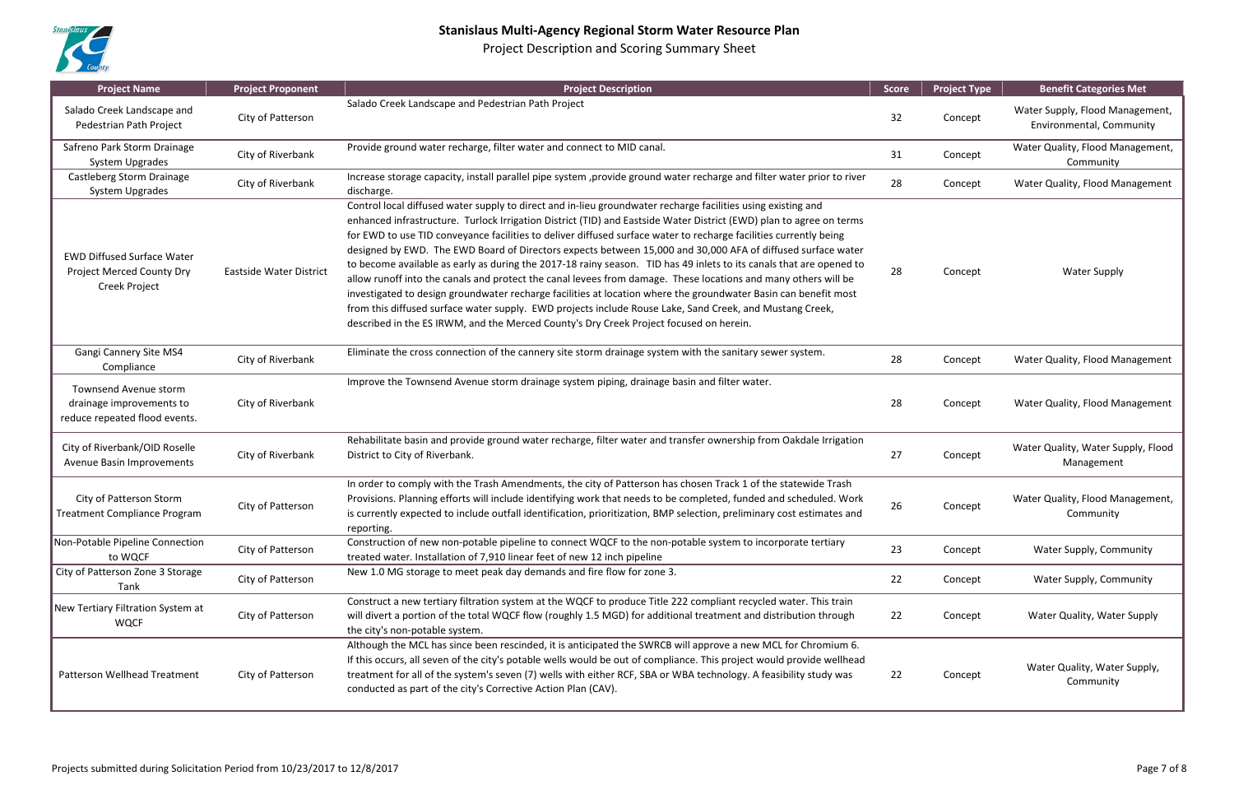

| <b>Project Name</b>                                                                           | <b>Project Proponent</b> | <b>Project Description</b>                                                                                                                                                                                                                                                                                                                                                                                                                                                                                                                                                                                                                                                                                                                                                                                                                                                                                                                                                                                                                | <b>Score</b> | <b>Project Type</b> | <b>Benefit Categories Met</b>                               |
|-----------------------------------------------------------------------------------------------|--------------------------|-------------------------------------------------------------------------------------------------------------------------------------------------------------------------------------------------------------------------------------------------------------------------------------------------------------------------------------------------------------------------------------------------------------------------------------------------------------------------------------------------------------------------------------------------------------------------------------------------------------------------------------------------------------------------------------------------------------------------------------------------------------------------------------------------------------------------------------------------------------------------------------------------------------------------------------------------------------------------------------------------------------------------------------------|--------------|---------------------|-------------------------------------------------------------|
| Salado Creek Landscape and<br>Pedestrian Path Project                                         | City of Patterson        | Salado Creek Landscape and Pedestrian Path Project                                                                                                                                                                                                                                                                                                                                                                                                                                                                                                                                                                                                                                                                                                                                                                                                                                                                                                                                                                                        | 32           | Concept             | Water Supply, Flood Management,<br>Environmental, Community |
| Safreno Park Storm Drainage<br><b>System Upgrades</b>                                         | City of Riverbank        | Provide ground water recharge, filter water and connect to MID canal.                                                                                                                                                                                                                                                                                                                                                                                                                                                                                                                                                                                                                                                                                                                                                                                                                                                                                                                                                                     | 31           | Concept             | Water Quality, Flood Management,<br>Community               |
| Castleberg Storm Drainage<br><b>System Upgrades</b>                                           | City of Riverbank        | Increase storage capacity, install parallel pipe system , provide ground water recharge and filter water prior to river<br>discharge.                                                                                                                                                                                                                                                                                                                                                                                                                                                                                                                                                                                                                                                                                                                                                                                                                                                                                                     | 28           | Concept             | Water Quality, Flood Management                             |
| <b>EWD Diffused Surface Water</b><br><b>Project Merced County Dry</b><br><b>Creek Project</b> | Eastside Water District  | Control local diffused water supply to direct and in-lieu groundwater recharge facilities using existing and<br>enhanced infrastructure. Turlock Irrigation District (TID) and Eastside Water District (EWD) plan to agree on terms<br>for EWD to use TID conveyance facilities to deliver diffused surface water to recharge facilities currently being<br>designed by EWD. The EWD Board of Directors expects between 15,000 and 30,000 AFA of diffused surface water<br>to become available as early as during the 2017-18 rainy season. TID has 49 inlets to its canals that are opened to<br>allow runoff into the canals and protect the canal levees from damage. These locations and many others will be<br>investigated to design groundwater recharge facilities at location where the groundwater Basin can benefit most<br>from this diffused surface water supply. EWD projects include Rouse Lake, Sand Creek, and Mustang Creek,<br>described in the ES IRWM, and the Merced County's Dry Creek Project focused on herein. | 28           | Concept             | <b>Water Supply</b>                                         |
| Gangi Cannery Site MS4<br>Compliance                                                          | City of Riverbank        | Eliminate the cross connection of the cannery site storm drainage system with the sanitary sewer system.                                                                                                                                                                                                                                                                                                                                                                                                                                                                                                                                                                                                                                                                                                                                                                                                                                                                                                                                  | 28           | Concept             | Water Quality, Flood Management                             |
| Townsend Avenue storm<br>drainage improvements to<br>reduce repeated flood events.            | City of Riverbank        | Improve the Townsend Avenue storm drainage system piping, drainage basin and filter water.                                                                                                                                                                                                                                                                                                                                                                                                                                                                                                                                                                                                                                                                                                                                                                                                                                                                                                                                                | 28           | Concept             | Water Quality, Flood Management                             |
| City of Riverbank/OID Roselle<br>Avenue Basin Improvements                                    | City of Riverbank        | Rehabilitate basin and provide ground water recharge, filter water and transfer ownership from Oakdale Irrigation<br>District to City of Riverbank.                                                                                                                                                                                                                                                                                                                                                                                                                                                                                                                                                                                                                                                                                                                                                                                                                                                                                       | 27           | Concept             | Water Quality, Water Supply, Flood<br>Management            |
| City of Patterson Storm<br><b>Treatment Compliance Program</b>                                | City of Patterson        | In order to comply with the Trash Amendments, the city of Patterson has chosen Track 1 of the statewide Trash<br>Provisions. Planning efforts will include identifying work that needs to be completed, funded and scheduled. Work<br>is currently expected to include outfall identification, prioritization, BMP selection, preliminary cost estimates and<br>reporting.                                                                                                                                                                                                                                                                                                                                                                                                                                                                                                                                                                                                                                                                | 26           | Concept             | Water Quality, Flood Management,<br>Community               |
| Non-Potable Pipeline Connection<br>to WQCF                                                    | City of Patterson        | Construction of new non-potable pipeline to connect WQCF to the non-potable system to incorporate tertiary<br>treated water. Installation of 7,910 linear feet of new 12 inch pipeline                                                                                                                                                                                                                                                                                                                                                                                                                                                                                                                                                                                                                                                                                                                                                                                                                                                    | 23           | Concept             | Water Supply, Community                                     |
| City of Patterson Zone 3 Storage<br>Tank                                                      | City of Patterson        | New 1.0 MG storage to meet peak day demands and fire flow for zone 3.                                                                                                                                                                                                                                                                                                                                                                                                                                                                                                                                                                                                                                                                                                                                                                                                                                                                                                                                                                     | 22           | Concept             | Water Supply, Community                                     |
| New Tertiary Filtration System at<br><b>WQCF</b>                                              | City of Patterson        | Construct a new tertiary filtration system at the WQCF to produce Title 222 compliant recycled water. This train<br>will divert a portion of the total WQCF flow (roughly 1.5 MGD) for additional treatment and distribution through<br>the city's non-potable system.                                                                                                                                                                                                                                                                                                                                                                                                                                                                                                                                                                                                                                                                                                                                                                    | 22           | Concept             | Water Quality, Water Supply                                 |
| Patterson Wellhead Treatment                                                                  | City of Patterson        | Although the MCL has since been rescinded, it is anticipated the SWRCB will approve a new MCL for Chromium 6.<br>If this occurs, all seven of the city's potable wells would be out of compliance. This project would provide wellhead<br>treatment for all of the system's seven (7) wells with either RCF, SBA or WBA technology. A feasibility study was<br>conducted as part of the city's Corrective Action Plan (CAV).                                                                                                                                                                                                                                                                                                                                                                                                                                                                                                                                                                                                              | 22           | Concept             | Water Quality, Water Supply,<br>Community                   |